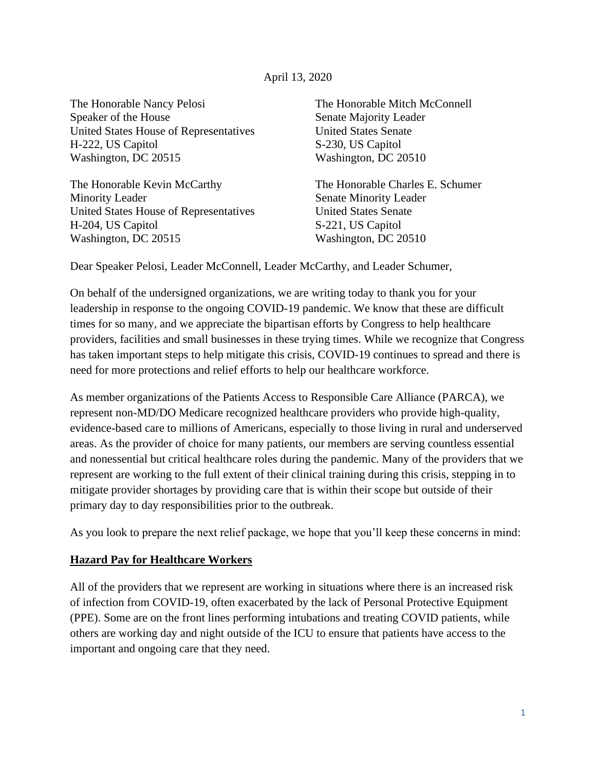#### April 13, 2020

The Honorable Nancy Pelosi Speaker of the House United States House of Representatives H-222, US Capitol Washington, DC 20515

The Honorable Kevin McCarthy Minority Leader United States House of Representatives H-204, US Capitol Washington, DC 20515

The Honorable Mitch McConnell Senate Majority Leader United States Senate S-230, US Capitol Washington, DC 20510

The Honorable Charles E. Schumer Senate Minority Leader United States Senate S-221, US Capitol Washington, DC 20510

Dear Speaker Pelosi, Leader McConnell, Leader McCarthy, and Leader Schumer,

On behalf of the undersigned organizations, we are writing today to thank you for your leadership in response to the ongoing COVID-19 pandemic. We know that these are difficult times for so many, and we appreciate the bipartisan efforts by Congress to help healthcare providers, facilities and small businesses in these trying times. While we recognize that Congress has taken important steps to help mitigate this crisis, COVID-19 continues to spread and there is need for more protections and relief efforts to help our healthcare workforce.

As member organizations of the Patients Access to Responsible Care Alliance (PARCA), we represent non-MD/DO Medicare recognized healthcare providers who provide high-quality, evidence-based care to millions of Americans, especially to those living in rural and underserved areas. As the provider of choice for many patients, our members are serving countless essential and nonessential but critical healthcare roles during the pandemic. Many of the providers that we represent are working to the full extent of their clinical training during this crisis, stepping in to mitigate provider shortages by providing care that is within their scope but outside of their primary day to day responsibilities prior to the outbreak.

As you look to prepare the next relief package, we hope that you'll keep these concerns in mind:

#### **Hazard Pay for Healthcare Workers**

All of the providers that we represent are working in situations where there is an increased risk of infection from COVID-19, often exacerbated by the lack of Personal Protective Equipment (PPE). Some are on the front lines performing intubations and treating COVID patients, while others are working day and night outside of the ICU to ensure that patients have access to the important and ongoing care that they need.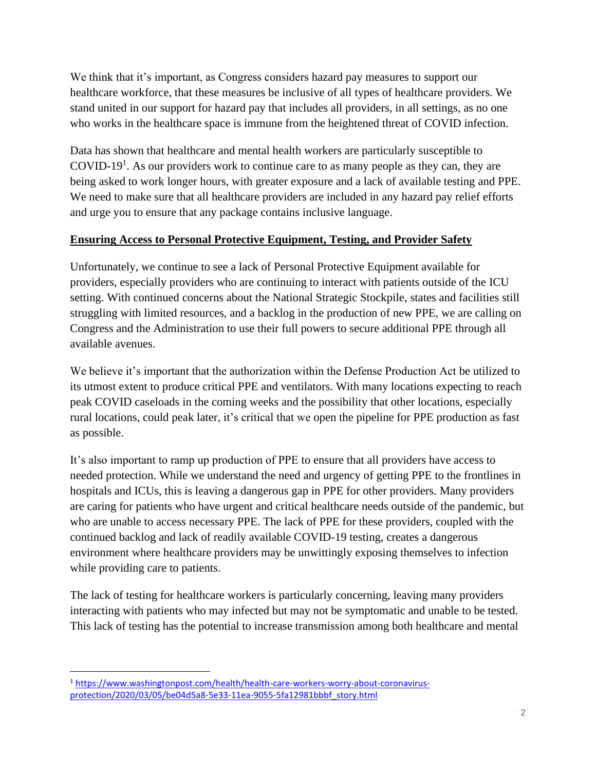We think that it's important, as Congress considers hazard pay measures to support our healthcare workforce, that these measures be inclusive of all types of healthcare providers. We stand united in our support for hazard pay that includes all providers, in all settings, as no one who works in the healthcare space is immune from the heightened threat of COVID infection.

Data has shown that healthcare and mental health workers are particularly susceptible to COVID-19<sup>1</sup>. As our providers work to continue care to as many people as they can, they are being asked to work longer hours, with greater exposure and a lack of available testing and PPE. We need to make sure that all healthcare providers are included in any hazard pay relief efforts and urge you to ensure that any package contains inclusive language.

## **Ensuring Access to Personal Protective Equipment, Testing, and Provider Safety**

Unfortunately, we continue to see a lack of Personal Protective Equipment available for providers, especially providers who are continuing to interact with patients outside of the ICU setting. With continued concerns about the National Strategic Stockpile, states and facilities still struggling with limited resources, and a backlog in the production of new PPE, we are calling on Congress and the Administration to use their full powers to secure additional PPE through all available avenues.

We believe it's important that the authorization within the Defense Production Act be utilized to its utmost extent to produce critical PPE and ventilators. With many locations expecting to reach peak COVID caseloads in the coming weeks and the possibility that other locations, especially rural locations, could peak later, it's critical that we open the pipeline for PPE production as fast as possible.

It's also important to ramp up production of PPE to ensure that all providers have access to needed protection. While we understand the need and urgency of getting PPE to the frontlines in hospitals and ICUs, this is leaving a dangerous gap in PPE for other providers. Many providers are caring for patients who have urgent and critical healthcare needs outside of the pandemic, but who are unable to access necessary PPE. The lack of PPE for these providers, coupled with the continued backlog and lack of readily available COVID-19 testing, creates a dangerous environment where healthcare providers may be unwittingly exposing themselves to infection while providing care to patients.

The lack of testing for healthcare workers is particularly concerning, leaving many providers interacting with patients who may infected but may not be symptomatic and unable to be tested. This lack of testing has the potential to increase transmission among both healthcare and mental

<sup>1</sup> [https://www.washingtonpost.com/health/health-care-workers-worry-about-coronavirus](https://www.washingtonpost.com/health/health-care-workers-worry-about-coronavirus-protection/2020/03/05/be04d5a8-5e33-11ea-9055-5fa12981bbbf_story.html)[protection/2020/03/05/be04d5a8-5e33-11ea-9055-5fa12981bbbf\\_story.html](https://www.washingtonpost.com/health/health-care-workers-worry-about-coronavirus-protection/2020/03/05/be04d5a8-5e33-11ea-9055-5fa12981bbbf_story.html)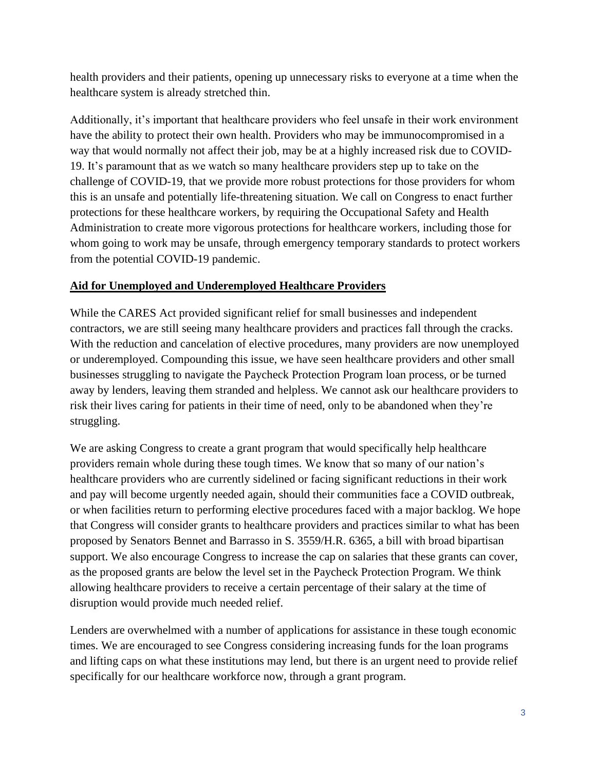health providers and their patients, opening up unnecessary risks to everyone at a time when the healthcare system is already stretched thin.

Additionally, it's important that healthcare providers who feel unsafe in their work environment have the ability to protect their own health. Providers who may be immunocompromised in a way that would normally not affect their job, may be at a highly increased risk due to COVID-19. It's paramount that as we watch so many healthcare providers step up to take on the challenge of COVID-19, that we provide more robust protections for those providers for whom this is an unsafe and potentially life-threatening situation. We call on Congress to enact further protections for these healthcare workers, by requiring the Occupational Safety and Health Administration to create more vigorous protections for healthcare workers, including those for whom going to work may be unsafe, through emergency temporary standards to protect workers from the potential COVID-19 pandemic.

## **Aid for Unemployed and Underemployed Healthcare Providers**

While the CARES Act provided significant relief for small businesses and independent contractors, we are still seeing many healthcare providers and practices fall through the cracks. With the reduction and cancelation of elective procedures, many providers are now unemployed or underemployed. Compounding this issue, we have seen healthcare providers and other small businesses struggling to navigate the Paycheck Protection Program loan process, or be turned away by lenders, leaving them stranded and helpless. We cannot ask our healthcare providers to risk their lives caring for patients in their time of need, only to be abandoned when they're struggling.

We are asking Congress to create a grant program that would specifically help healthcare providers remain whole during these tough times. We know that so many of our nation's healthcare providers who are currently sidelined or facing significant reductions in their work and pay will become urgently needed again, should their communities face a COVID outbreak, or when facilities return to performing elective procedures faced with a major backlog. We hope that Congress will consider grants to healthcare providers and practices similar to what has been proposed by Senators Bennet and Barrasso in S. 3559/H.R. 6365, a bill with broad bipartisan support. We also encourage Congress to increase the cap on salaries that these grants can cover, as the proposed grants are below the level set in the Paycheck Protection Program. We think allowing healthcare providers to receive a certain percentage of their salary at the time of disruption would provide much needed relief.

Lenders are overwhelmed with a number of applications for assistance in these tough economic times. We are encouraged to see Congress considering increasing funds for the loan programs and lifting caps on what these institutions may lend, but there is an urgent need to provide relief specifically for our healthcare workforce now, through a grant program.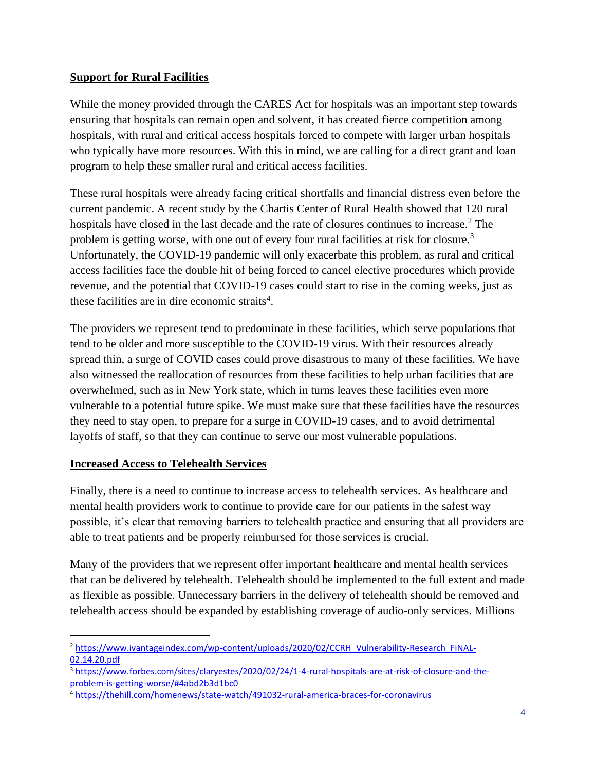## **Support for Rural Facilities**

While the money provided through the CARES Act for hospitals was an important step towards ensuring that hospitals can remain open and solvent, it has created fierce competition among hospitals, with rural and critical access hospitals forced to compete with larger urban hospitals who typically have more resources. With this in mind, we are calling for a direct grant and loan program to help these smaller rural and critical access facilities.

These rural hospitals were already facing critical shortfalls and financial distress even before the current pandemic. A recent study by the Chartis Center of Rural Health showed that 120 rural hospitals have closed in the last decade and the rate of closures continues to increase.<sup>2</sup> The problem is getting worse, with one out of every four rural facilities at risk for closure.<sup>3</sup> Unfortunately, the COVID-19 pandemic will only exacerbate this problem, as rural and critical access facilities face the double hit of being forced to cancel elective procedures which provide revenue, and the potential that COVID-19 cases could start to rise in the coming weeks, just as these facilities are in dire economic straits<sup>4</sup>.

The providers we represent tend to predominate in these facilities, which serve populations that tend to be older and more susceptible to the COVID-19 virus. With their resources already spread thin, a surge of COVID cases could prove disastrous to many of these facilities. We have also witnessed the reallocation of resources from these facilities to help urban facilities that are overwhelmed, such as in New York state, which in turns leaves these facilities even more vulnerable to a potential future spike. We must make sure that these facilities have the resources they need to stay open, to prepare for a surge in COVID-19 cases, and to avoid detrimental layoffs of staff, so that they can continue to serve our most vulnerable populations.

# **Increased Access to Telehealth Services**

Finally, there is a need to continue to increase access to telehealth services. As healthcare and mental health providers work to continue to provide care for our patients in the safest way possible, it's clear that removing barriers to telehealth practice and ensuring that all providers are able to treat patients and be properly reimbursed for those services is crucial.

Many of the providers that we represent offer important healthcare and mental health services that can be delivered by telehealth. Telehealth should be implemented to the full extent and made as flexible as possible. Unnecessary barriers in the delivery of telehealth should be removed and telehealth access should be expanded by establishing coverage of audio-only services. Millions

<sup>2</sup> [https://www.ivantageindex.com/wp-content/uploads/2020/02/CCRH\\_Vulnerability-Research\\_FiNAL-](https://www.ivantageindex.com/wp-content/uploads/2020/02/CCRH_Vulnerability-Research_FiNAL-02.14.20.pdf)[02.14.20.pdf](https://www.ivantageindex.com/wp-content/uploads/2020/02/CCRH_Vulnerability-Research_FiNAL-02.14.20.pdf)

<sup>3</sup> [https://www.forbes.com/sites/claryestes/2020/02/24/1-4-rural-hospitals-are-at-risk-of-closure-and-the](https://www.forbes.com/sites/claryestes/2020/02/24/1-4-rural-hospitals-are-at-risk-of-closure-and-the-problem-is-getting-worse/#4abd2b3d1bc0)[problem-is-getting-worse/#4abd2b3d1bc0](https://www.forbes.com/sites/claryestes/2020/02/24/1-4-rural-hospitals-are-at-risk-of-closure-and-the-problem-is-getting-worse/#4abd2b3d1bc0)

<sup>4</sup> <https://thehill.com/homenews/state-watch/491032-rural-america-braces-for-coronavirus>